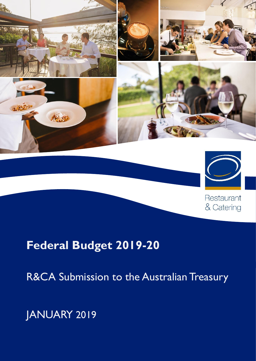

# **Federal Budget 2019-20**

R&CA Submission to the Australian Treasury

Restaurant

& Catering

JANUARY 2019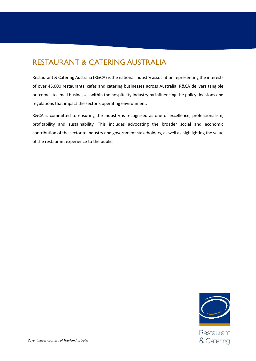# RESTAURANT & CATERING AUSTRALIA

Restaurant & Catering Australia (R&CA) is the national industry association representing the interests of over 45,000 restaurants, cafes and catering businesses across Australia. R&CA delivers tangible outcomes to small businesses within the hospitality industry by influencing the policy decisions and regulations that impact the sector's operating environment.

R&CA is committed to ensuring the industry is recognised as one of excellence, professionalism, profitability and sustainability. This includes advocating the broader social and economic contribution of the sector to industry and government stakeholders, as well as highlighting the value of the restaurant experience to the public.



Restaurant & Catering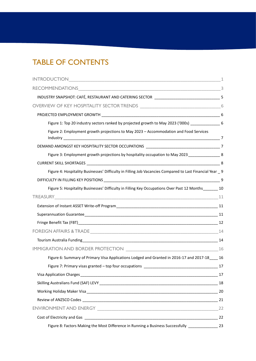# TABLE OF CONTENTS

|                                                                                                          | 1 |
|----------------------------------------------------------------------------------------------------------|---|
|                                                                                                          |   |
| INDUSTRY SNAPSHOT: CAFÉ, RESTAURANT AND CATERING SECTOR __________________________________5              |   |
|                                                                                                          |   |
|                                                                                                          |   |
| Figure 1: Top 20 industry sectors ranked by projected growth to May 2023 ('000s) _________________ 6     |   |
| Figure 2: Employment growth projections to May 2023 - Accommodation and Food Services                    |   |
|                                                                                                          |   |
| Figure 3: Employment growth projections by hospitality occupation to May 2023 _________________8         |   |
|                                                                                                          |   |
| Figure 4: Hospitality Businesses' Difficulty in Filling Job Vacancies Compared to Last Financial Year _9 |   |
|                                                                                                          |   |
| Figure 5: Hospitality Businesses' Difficulty in Filling Key Occupations Over Past 12 Months 10           |   |
|                                                                                                          |   |
|                                                                                                          |   |
|                                                                                                          |   |
|                                                                                                          |   |
|                                                                                                          |   |
|                                                                                                          |   |
|                                                                                                          |   |
| Figure 6: Summary of Primary Visa Applications Lodged and Granted in 2016-17 and 2017-18____ 16          |   |
|                                                                                                          |   |
|                                                                                                          |   |
|                                                                                                          |   |
|                                                                                                          |   |
|                                                                                                          |   |
|                                                                                                          |   |
|                                                                                                          |   |
| Figure 8: Factors Making the Most Difference in Running a Business Successfully [10001] 23               |   |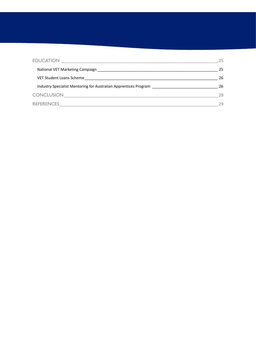| <b>EDUCATION</b>                                                 | 25 |  |
|------------------------------------------------------------------|----|--|
| National VET Marketing Campaign                                  | 25 |  |
| VET Student Loans Scheme                                         | 26 |  |
| Industry Specialist Mentoring for Australian Apprentices Program | 26 |  |
| <b>CONCLUSION</b>                                                | 28 |  |
| <b>REFERENCES</b>                                                | 29 |  |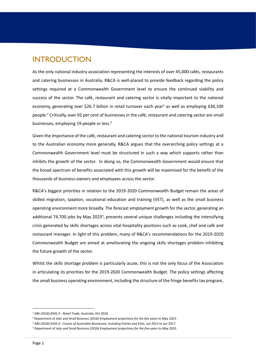# <span id="page-4-0"></span>INTRODUCTION

As the only national industry association representing the interests of over 45,000 cafés, restaurants and catering businesses in Australia, R&CA is well-placed to provide feedback regarding the policy settings required at a Commonwealth Government level to ensure the continued viability and success of the sector. The café, restaurant and catering sector is vitally important to the national economy, generating over \$26.7 billion in retail turnover each year<sup>1</sup> as well as employing 630,100 people.<sup>2</sup> Critically, over 92 per cent of businesses in the café, restaurant and catering sector are small businesses, employing 19 people or less.<sup>3</sup>

Given the importance of the café, restaurant and catering sector to the national tourism industry and to the Australian economy more generally, R&CA argues that the overarching policy settings at a Commonwealth Government level must be structured in such a way which supports rather than inhibits the growth of the sector. In doing so, the Commonwealth Government would ensure that the broad spectrum of benefits associated with this growth will be maximised for the benefit of the thousands of business-owners and employees across the sector.

R&CA's biggest priorities in relation to the 2019-2020 Commonwealth Budget remain the areas of skilled migration, taxation, vocational education and training (VET), as well as the small business operating environment more broadly. The forecast employment growth for the sector, generating an additional 74,700 jobs by May 2023<sup>4</sup>, presents several unique challenges including the intensifying crisis generated by skills shortages across vital hospitality positions such as cook, chef and café and restaurant manager. In light of this problem, many of R&CA's recommendations for the 2019-2020 Commonwealth Budget are aimed at ameliorating the ongoing skills shortages problem inhibiting the future growth of the sector.

Whilst the skills shortage problem is particularly acute, this is not the only focus of the Association in articulating its priorities for the 2019-2020 Commonwealth Budget. The policy settings affecting the small business operating environment, including the structure of the fringe benefits tax program,

<sup>1</sup> ABS (2018) *8501.0 - Retail Trade, Australia, Oct 2018*.

<sup>2</sup> Department of Jobs and Small Business (2018) *Employment projections for the five years to May 2023*.

<sup>3</sup> ABS (2018) *8165.0 - Counts of Australian Businesses, including Entries and Exits, Jun 2013 to Jun 2017*.

<sup>4</sup> Department of Jobs and Small Business (2018) *Employment projections for the five years to May 2023*.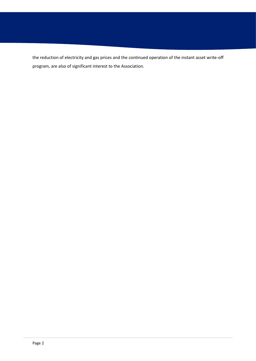the reduction of electricity and gas prices and the continued operation of the instant asset write-off program, are also of significant interest to the Association.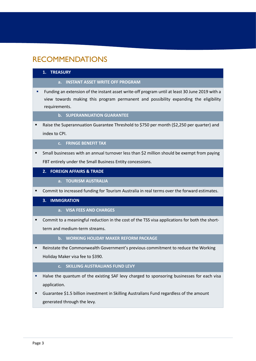# <span id="page-6-0"></span>RECOMMENDATIONS

#### **1. TREASURY**

- **a. INSTANT ASSET WRITE OFF PROGRAM**
- Funding an extension of the instant asset write-off program until at least 30 June 2019 with a view towards making this program permanent and possibility expanding the eligibility requirements.
	- **b. SUPERANNUATION GUARANTEE**
- Raise the Superannuation Guarantee Threshold to \$750 per month (\$2,250 per quarter) and index to CPI.
	- **c. FRINGE BENEFIT TAX**
- Small businesses with an annual turnover less than \$2 million should be exempt from paying FBT entirely under the Small Business Entity concessions.

#### **2. FOREIGN AFFAIRS & TRADE**

- **a. TOURISM AUSTRALIA**
- Commit to increased funding for Tourism Australia in real terms over the forward estimates.

#### **3. IMMIGRATION**

- **a. VISA FEES AND CHARGES**
- **•** Commit to a meaningful reduction in the cost of the TSS visa applications for both the shortterm and medium-term streams.

### **b. WORKING HOLIDAY MAKER REFORM PACKAGE**

**EXECTE FIGO EXECTE THE COMMON MOVER IN GOVERNMENT S** Previous commitment to reduce the Working Holiday Maker visa fee to \$390.

#### **c. SKILLING AUSTRALIANS FUND LEVY**

- Halve the quantum of the existing SAF levy charged to sponsoring businesses for each visa application.
- Guarantee \$1.5 billion investment in Skilling Australians Fund regardless of the amount generated through the levy.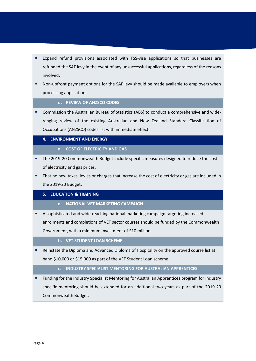- Expand refund provisions associated with TSS-visa applications so that businesses are refunded the SAF levy in the event of any unsuccessful applications, regardless of the reasons involved.
- Non-upfront payment options for the SAF levy should be made available to employers when processing applications.

#### **d. REVIEW OF ANZSCO CODES**

**•** Commission the Australian Bureau of Statistics (ABS) to conduct a comprehensive and wideranging review of the existing Australian and New Zealand Standard Classification of Occupations (ANZSCO) codes list with immediate effect.

### **4. ENVIRONMENT AND ENERGY**

#### **a. COST OF ELECTRICITY AND GAS**

- The 2019-20 Commonwealth Budget include specific measures designed to reduce the cost of electricity and gas prices.
- That no new taxes, levies or charges that increase the cost of electricity or gas are included in the 2019-20 Budget.

#### **5. EDUCATION & TRAINING**

- **a. NATIONAL VET MARKETING CAMPAIGN**
- A sophisticated and wide-reaching national marketing campaign targeting increased enrolments and completions of VET sector courses should be funded by the Commonwealth Government, with a minimum investment of \$10 million.

#### **b. VET STUDENT LOAN SCHEME**

Reinstate the Diploma and Advanced Diploma of Hospitality on the approved course list at band \$10,000 or \$15,000 as part of the VET Student Loan scheme.

### **c. INDUSTRY SPECIALIST MENTORING FOR AUSTRALIAN APPRENTICES**

Funding for the Industry Specialist Mentoring for Australian Apprentices program for industry specific mentoring should be extended for an additional two years as part of the 2019-20 Commonwealth Budget.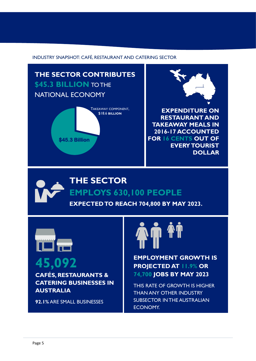<span id="page-8-0"></span>INDUSTRY SNAPSHOT: CAFÉ, RESTAURANT AND CATERING SECTOR

**THE SECTOR CONTRIBUTES \$45.3 BILLION** TO THE NATIONAL ECONOMY





**EXPENDITURE ON RESTAURANT AND TAKEAWAY MEALS IN 2016-17 ACCOUNTED FOR 16 CENTS OUT OF EVERY TOURIST DOLLAR**

# **THE SECTOR EMPLOYS 630,100 PEOPLE**

**EXPECTED TO REACH 704,800 BY MAY 2023.**



**CAFÉS, RESTAURANTS & CATERING BUSINESSES IN AUSTRALIA**

**92.1%** ARE SMALL BUSINESSES



**45,092 EMPLOYMENT GROWTH IS**<br>**PROJECTED AT 11.9% OR PROJECTED AT 11.9% OR 74,700 JOBS BY MAY 2023**

> THIS RATE OF GROWTH IS HIGHER THAN ANY OTHER INDUSTRY SUBSECTOR IN THE AUSTRALIAN ECONOMY.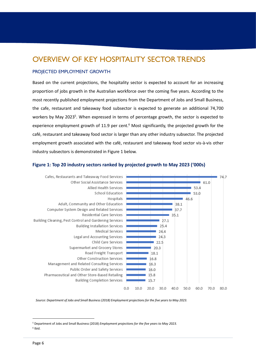# <span id="page-9-0"></span>OVERVIEW OF KEY HOSPITALITY SECTOR TRENDS

#### <span id="page-9-1"></span>PROJECTED EMPLOYMENT GROWTH

Based on the current projections, the hospitality sector is expected to account for an increasing proportion of jobs growth in the Australian workforce over the coming five years. According to the most recently published employment projections from the Department of Jobs and Small Business, the cafe, restaurant and takeaway food subsector is expected to generate an additional 74,700 workers by May 2023<sup>5</sup>. When expressed in terms of percentage growth, the sector is expected to experience employment growth of 11.9 per cent. $6$  Most significantly, the projected growth for the café, restaurant and takeaway food sector is larger than any other industry subsector. The projected employment growth associated with the café, restaurant and takeaway food sector vis-à-vis other industry subsectors is demonstrated in Figure 1 below.



#### <span id="page-9-2"></span>**Figure 1: Top 20 industry sectors ranked by projected growth to May 2023 ('000s)**

*Source: Department of Jobs and Small Business (2018) Employment projections for the five years to May 2023.*

<sup>5</sup> Department of Jobs and Small Business (2018) *Employment projections for the five years to May 2023.*

6 Ibid.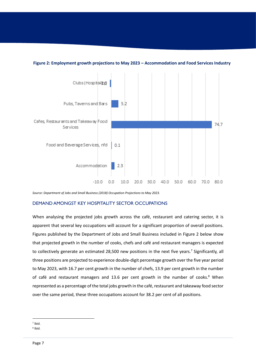

#### **Figure 2: Employment growth projections to May 2023 – Accommodation and Food Services Industry**

*Source: Department of Jobs and Small Business (2018) Occupation Projections to May 2023.*

#### <span id="page-10-0"></span>DEMAND AMONGST KEY HOSPITALITY SECTOR OCCUPATIONS

When analysing the projected jobs growth across the café, restaurant and catering sector, it is apparent that several key occupations will account for a significant proportion of overall positions. Figures published by the Department of Jobs and Small Business included in Figure 2 below show that projected growth in the number of cooks, chefs and café and restaurant managers is expected to collectively generate an estimated 28,500 new positions in the next five years.<sup>7</sup> Significantly, all three positions are projected to experience double-digit percentage growth over the five year period to May 2023, with 16.7 per cent growth in the number of chefs, 13.9 per cent growth in the number of café and restaurant managers and 13.6 per cent growth in the number of cooks.<sup>8</sup> When represented as a percentage of the total jobs growth in the café, restaurant and takeaway food sector over the same period, these three occupations account for 38.2 per cent of all positions.

 $\overline{a}$ 7 Ibid.

<sup>8</sup> Ibid.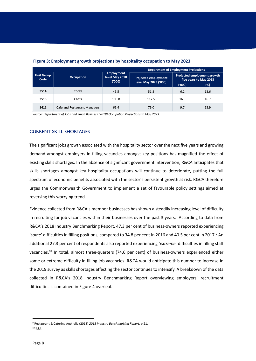|                           |                              |                                              | <b>Department of Employment Projections</b>          |                                                       |      |
|---------------------------|------------------------------|----------------------------------------------|------------------------------------------------------|-------------------------------------------------------|------|
| <b>Unit Group</b><br>Code | <b>Occupation</b>            | <b>Employment</b><br>level May 2018<br>(000) | <b>Projected employment</b><br>level May 2023 ('000) | Projected employment growth<br>five years to May 2023 |      |
|                           |                              |                                              |                                                      | ('000)                                                | (%)  |
| 3514                      | Cooks                        | 45.5                                         | 51.8                                                 | 6.2                                                   | 13.6 |
| 3513                      | Chefs                        | 100.8                                        | 117.5                                                | 16.8                                                  | 16.7 |
| 1411                      | Cafe and Restaurant Managers | 69.4                                         | 79.0                                                 | 9.7                                                   | 13.9 |

#### **Figure 3: Employment growth projections by hospitality occupation to May 2023**

*Source: Department of Jobs and Small Business (2018) Occupation Projections to May 2023.*

#### <span id="page-11-0"></span>CURRENT SKILL SHORTAGES

The significant jobs growth associated with the hospitality sector over the next five years and growing demand amongst employers in filling vacancies amongst key positions has magnified the effect of existing skills shortages. In the absence of significant government intervention, R&CA anticipates that skills shortages amongst key hospitality occupations will continue to deteriorate, putting the full spectrum of economic benefits associated with the sector's persistent growth at risk. R&CA therefore urges the Commonwealth Government to implement a set of favourable policy settings aimed at reversing this worrying trend.

Evidence collected from R&CA's member businesses has shown a steadily increasing level of difficulty in recruiting for job vacancies within their businesses over the past 3 years. According to data from R&CA's 2018 Industry Benchmarking Report, 47.3 per cent of business-owners reported experiencing 'some' difficulties in filling positions, compared to 34.8 per cent in 2016 and 40.5 per cent in 2017.<sup>9</sup> An additional 27.3 per cent of respondents also reported experiencing '*extreme*' difficulties in filling staff vacancies.<sup>10</sup> In total, almost three-quarters (74.6 per cent) of business-owners experienced either some or extreme difficulty in filling job vacancies. R&CA would anticipate this number to increase in the 2019 survey as skills shortages affecting the sector continues to intensify. A breakdown of the data collected in R&CA's 2018 Industry Benchmarking Report overviewing employers' recruitment difficulties is contained in Figure 4 overleaf.

 $10$  Ibid.

<sup>9</sup> Restaurant & Catering Australia (2018) *2018 Industry Benchmarking Report*, p.21.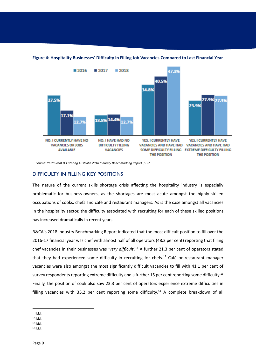

#### <span id="page-12-0"></span>**Figure 4: Hospitality Businesses' Difficulty in Filling Job Vacancies Compared to Last Financial Year**

*Source: Restaurant & Catering Australia 2018 Industry Benchmarking Report, p.22.*

#### <span id="page-12-1"></span>DIFFICULTY IN FILLING KEY POSITIONS

The nature of the current skills shortage crisis affecting the hospitality industry is especially problematic for business-owners, as the shortages are most acute amongst the highly skilled occupations of cooks, chefs and café and restaurant managers. As is the case amongst all vacancies in the hospitality sector, the difficulty associated with recruiting for each of these skilled positions has increased dramatically in recent years.

R&CA's 2018 Industry Benchmarking Report indicated that the most difficult position to fill over the 2016-17 financial year was chef with almost half of all operators (48.2 per cent) reporting that filling chef vacancies in their businesses was '*very difficult*'.<sup>11</sup> A further 21.3 per cent of operators stated that they had experienced some difficulty in recruiting for chefs.<sup>12</sup> Café or restaurant manager vacancies were also amongst the most significantly difficult vacancies to fill with 41.1 per cent of survey respondents reporting extreme difficulty and a further 15 per cent reporting some difficulty.<sup>13</sup> Finally, the position of cook also saw 23.3 per cent of operators experience extreme difficulties in filling vacancies with 35.2 per cent reporting some difficulty.<sup>14</sup> A complete breakdown of all

- $13$  Ibid.
- <sup>14</sup> Ibid.

 $11$  Ibid.

 $12$  Ibid.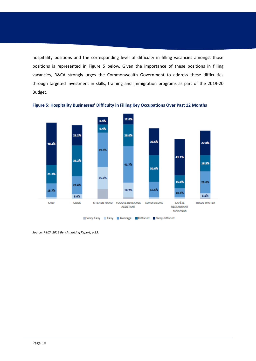hospitality positions and the corresponding level of difficulty in filling vacancies amongst those positions is represented in Figure 5 below. Given the importance of these positions in filling vacancies, R&CA strongly urges the Commonwealth Government to address these difficulties through targeted investment in skills, training and immigration programs as part of the 2019-20 Budget.



<span id="page-13-0"></span>**Figure 5: Hospitality Businesses' Difficulty in Filling Key Occupations Over Past 12 Months** 

*Source: R&CA 2018 Benchmarking Report, p.23.*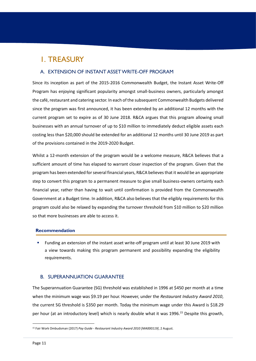# <span id="page-14-0"></span>1. TREASURY

### <span id="page-14-1"></span>A. EXTENSION OF INSTANT ASSET WRITE-OFF PROGRAM

Since its inception as part of the 2015-2016 Commonwealth Budget, the Instant Asset Write-Off Program has enjoying significant popularity amongst small-business owners, particularly amongst the café, restaurant and catering sector. In each of the subsequent Commonwealth Budgets delivered since the program was first announced, it has been extended by an additional 12 months with the current program set to expire as of 30 June 2018. R&CA argues that this program allowing small businesses with an annual turnover of up to \$10 million to immediately deduct eligible assets each costing less than \$20,000 should be extended for an additional 12 months until 30 June 2019 as part of the provisions contained in the 2019-2020 Budget.

Whilst a 12-month extension of the program would be a welcome measure, R&CA believes that a sufficient amount of time has elapsed to warrant closer inspection of the program. Given that the program has been extended for several financial years, R&CA believes that it would be an appropriate step to convert this program to a permanent measure to give small business-owners certainty each financial year, rather than having to wait until confirmation is provided from the Commonwealth Government at a Budget time. In addition, R&CA also believes that the eligibly requirements for this program could also be relaxed by expanding the turnover threshold from \$10 million to \$20 million so that more businesses are able to access it.

#### **Recommendation**

▪ Funding an extension of the instant asset write-off program until at least 30 June 2019 with a view towards making this program permanent and possibility expanding the eligibility requirements.

#### <span id="page-14-2"></span>B. SUPERANNUATION GUARANTEE

The Superannuation Guarantee (SG) threshold was established in 1996 at \$450 per month at a time when the minimum wage was \$9.19 per hour. However, under the *Restaurant Industry Award 2010*, the current SG threshold is \$350 per month. Today the minimum wage under this Award is \$18.29 per hour (at an introductory level) which is nearly double what it was 1996. <sup>15</sup> Despite this growth,

<sup>15</sup> Fair Work Ombudsman (2017) *Pay Guide - Restaurant Industry Award 2010 [MA000119]*, 2 August.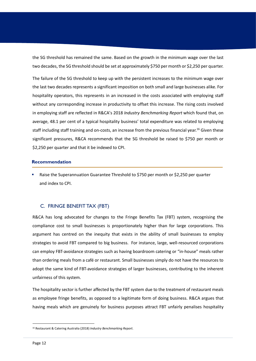the SG threshold has remained the same. Based on the growth in the minimum wage over the last two decades, the SG threshold should be set at approximately \$750 per month or \$2,250 per quarter.

The failure of the SG threshold to keep up with the persistent increases to the minimum wage over the last two decades represents a significant imposition on both small and large businesses alike. For hospitality operators, this represents in an increased in the costs associated with employing staff without any corresponding increase in productivity to offset this increase. The rising costs involved in employing staff are reflected in R&CA's 2018 *Industry Benchmarking Report* which found that, on average, 48.1 per cent of a typical hospitality business' total expenditure was related to employing staff including staff training and on-costs, an increase from the previous financial year. <sup>16</sup> Given these significant pressures, R&CA recommends that the SG threshold be raised to \$750 per month or \$2,250 per quarter and that it be indexed to CPI.

#### **Recommendation**

Raise the Superannuation Guarantee Threshold to \$750 per month or \$2,250 per quarter and index to CPI.

### <span id="page-15-0"></span>C. FRINGE BENEFIT TAX (FBT)

R&CA has long advocated for changes to the Fringe Benefits Tax (FBT) system, recognising the compliance cost to small businesses is proportionately higher than for large corporations. This argument has centred on the inequity that exists in the ability of small businesses to employ strategies to avoid FBT compared to big business. For instance, large, well-resourced corporations can employ FBT-avoidance strategies such as having boardroom catering or "in-house" meals rather than ordering meals from a café or restaurant. Small businesses simply do not have the resources to adopt the same kind of FBT-avoidance strategies of larger businesses, contributing to the inherent unfairness of this system.

The hospitality sector is further affected by the FBT system due to the treatment of restaurant meals as employee fringe benefits, as opposed to a legitimate form of doing business. R&CA argues that having meals which are genuinely for business purposes attract FBT unfairly penalises hospitality

<sup>16</sup> Restaurant & Catering Australia (2018) *Industry Benchmarking Report*.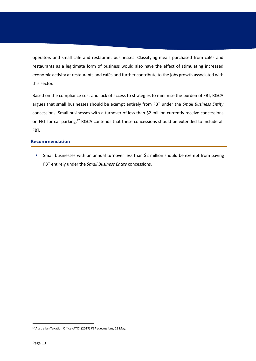operators and small café and restaurant businesses. Classifying meals purchased from cafés and restaurants as a legitimate form of business would also have the effect of stimulating increased economic activity at restaurants and cafés and further contribute to the jobs growth associated with this sector.

Based on the compliance cost and lack of access to strategies to minimise the burden of FBT, R&CA argues that small businesses should be exempt entirely from FBT under the *Small Business Entity*  concessions. Small businesses with a turnover of less than \$2 million currently receive concessions on FBT for car parking.<sup>17</sup> R&CA contends that these concessions should be extended to include all FBT.

#### **Recommendation**

**EXT** Small businesses with an annual turnover less than \$2 million should be exempt from paying FBT entirely under the *Small Business Entity* concessions.

<sup>17</sup> Australian Taxation Office (ATO) (2017) *FBT concessions*, 22 May.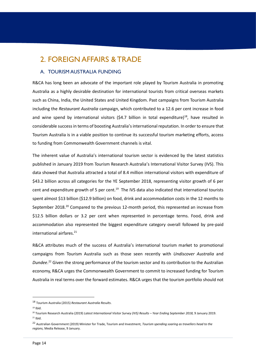## <span id="page-17-0"></span>2. FOREIGN AFFAIRS & TRADE

#### <span id="page-17-1"></span>A. TOURISM AUSTRALIA FUNDING

R&CA has long been an advocate of the important role played by Tourism Australia in promoting Australia as a highly desirable destination for international tourists from critical overseas markets such as China, India, the United States and United Kingdom. Past campaigns from Tourism Australia including the *Restaurant Australia* campaign, which contributed to a 12.6 per cent increase in food and wine spend by international visitors (\$4.7 billion in total expenditure)<sup>18</sup>, have resulted in considerable success in terms of boosting Australia's international reputation. In order to ensure that Tourism Australia is in a viable position to continue its successful tourism marketing efforts, access to funding from Commonwealth Government channels is vital.

The inherent value of Australia's international tourism sector is evidenced by the latest statistics published in January 2019 from Tourism Research Australia's International Visitor Survey (IVS). This data showed that Australia attracted a total of 8.4 million international visitors with expenditure of \$43.2 billion across all categories for the YE September 2018, representing visitor growth of 6 per cent and expenditure growth of 5 per cent.<sup>19</sup> The IVS data also indicated that international tourists spent almost \$13 billion (\$12.9 billion) on food, drink and accommodation costs in the 12 months to September 2018.<sup>20</sup> Compared to the previous 12-month period, this represented an increase from \$12.5 billion dollars or 3.2 per cent when represented in percentage terms. Food, drink and accommodation also represented the biggest expenditure category overall followed by pre-paid international airfares. 21

R&CA attributes much of the success of Australia's international tourism market to promotional campaigns from Tourism Australia such as those seen recently with *Undiscover Australia* and *Dundee*. <sup>22</sup> Given the strong performance of the tourism sector and its contribution to the Australian economy, R&CA urges the Commonwealth Government to commit to increased funding for Tourism Australia in real terms over the forward estimates. R&CA urges that the tourism portfolio should not

<sup>18</sup> Tourism Australia (2015) *Restaurant Australia Results*.

 $19$  Ibid.

<sup>20</sup> Tourism Research Australia (2019) *Latest International Visitor Survey (IVS) Results – Year Ending September 2018,* 9 January 2019.  $21$  Ibid.

<sup>22</sup> Australian Government (2019) Minister for Trade, Tourism and Investment, *Tourism spending soaring as travellers head to the regions,* Media Release, 9 January.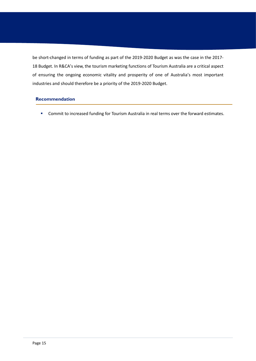be short-changed in terms of funding as part of the 2019-2020 Budget as was the case in the 2017- 18 Budget. In R&CA's view, the tourism marketing functions of Tourism Australia are a critical aspect of ensuring the ongoing economic vitality and prosperity of one of Australia's most important industries and should therefore be a priority of the 2019-2020 Budget.

### **Recommendation**

■ Commit to increased funding for Tourism Australia in real terms over the forward estimates.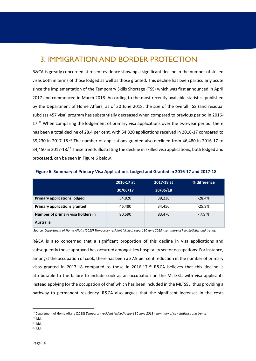# <span id="page-19-0"></span>3. IMMIGRATION AND BORDER PROTECTION

R&CA is greatly concerned at recent evidence showing a significant decline in the number of skilled visas both in terms of those lodged as well as those granted. This decline has been particularly acute since the implementation of the Temporary Skills Shortage (TSS) which was first announced in April 2017 and commenced in March 2018. According to the most recently available statistics published by the Department of Home Affairs, as of 30 June 2018, the size of the overall TSS (and residual subclass 457 visa) program has substantially decreased when compared to previous period in 2016- 17.<sup>23</sup> When comparing the lodgement of primary visa applications over the two-year period, there has been a total decline of 28.4 per cent, with 54,820 applications received in 2016-17 compared to 39,230 in 2017-18.<sup>24</sup> The number of applications granted also declined from 46,480 in 2016-17 to 34,450 in 2017-18.<sup>25</sup> These trends illustrating the decline in skilled visa applications, both lodged and processed, can be seen in Figure 6 below.

|                                     | 2016-17 at | 2017-18 at | % difference |
|-------------------------------------|------------|------------|--------------|
|                                     | 30/06/17   | 30/06/18   |              |
| <b>Primary applications lodged</b>  | 54,820     | 39,230     | $-28.4%$     |
| <b>Primary applications granted</b> | 46,480     | 34,450     | $-25.9%$     |
| Number of primary visa holders in   | 90,590     | 83,470     | $-7.9%$      |
| <b>Australia</b>                    |            |            |              |

**Figure 6: Summary of Primary Visa Applications Lodged and Granted in 2016-17 and 2017-18**

*Source: Department of Home Affairs (2018) Temporary resident (skilled) report 30 June 2018 - summary of key statistics and trends.*

R&CA is also concerned that a significant proportion of this decline in visa applications and subsequently those approved has occurred amongst key hospitality sector occupations. For instance, amongst the occupation of cook, there has been a 37.9 per cent reduction in the number of primary visas granted in 2017-18 compared to those in 2016-17.<sup>26</sup> R&CA believes that this decline is attributable to the failure to include cook as an occupation on the MLTSSL, with visa applicants instead applying for the occupation of chef which has been included in the MLTSSL, thus providing a pathway to permanent residency. R&CA also argues that the significant increases in the costs

<sup>23</sup> Department of Home Affairs (2018) *Temporary resident (skilled) report 30 June 2018 - summary of key statistics and trends.* 

<sup>24</sup> Ibid.

 $25$  Ibid.

<sup>26</sup> Ibid.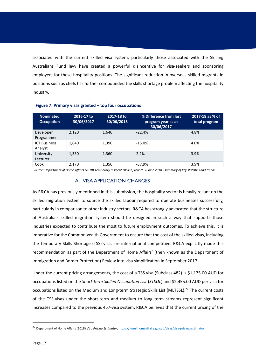associated with the current skilled visa system, particularly those associated with the Skilling Australians Fund levy have created a powerful disincentive for visa-seekers and sponsoring employers for these hospitality positions. The significant reduction in overseas skilled migrants in positions such as chefs has further compounded the skills shortage problem affecting the hospitality industry.

| <b>Nominated</b><br><b>Occupation</b> | 2016-17 to<br>30/06/2017 | 2017-18 to<br>30/06/2018 | % Difference from last<br>program year as at<br>30/06/2017 | 2017-18 as % of<br>total program |
|---------------------------------------|--------------------------|--------------------------|------------------------------------------------------------|----------------------------------|
| Developer<br>Programmer               | 2,120                    | 1,640                    | $-22.4%$                                                   | 4.8%                             |
| <b>ICT Business</b><br>Analyst        | 1,640                    | 1,390                    | $-15.0\%$                                                  | 4.0%                             |
| University<br>Lecturer                | 1,330                    | 1,360                    | 2.2%                                                       | 3.9%                             |
| Cook                                  | 2,170                    | 1,350                    | $-37.9%$                                                   | 3.9%                             |

#### **Figure 7: Primary visas granted – top four occupations**

<span id="page-20-0"></span>*Source: Department of Home Affairs (2018) Temporary resident (skilled) report 30 June 2018 - summary of key statistics and trends.*

#### A. VISA APPLICATION CHARGES

As R&CA has previously mentioned in this submission, the hospitality sector is heavily reliant on the skilled migration system to source the skilled labour required to operate businesses successfully, particularly in comparison to other industry sectors. R&CA has strongly advocated that the structure of Australia's skilled migration system should be designed in such a way that supports those industries expected to contribute the most to future employment outcomes. To achieve this, it is imperative for the Commonwealth Government to ensure that the cost of the skilled visas, including the Temporary Skills Shortage (TSS) visa, are international competitive. R&CA explicitly made this recommendation as part of the Department of Home Affairs' (then known as the Department of Immigration and Border Protection) Review into visa simplification in September 2017.

Under the current pricing arrangements, the cost of a TSS visa (Subclass 482) is \$1,175.00 AUD for occupations listed on the *Short-term Skilled Occupation List* (*STSOL*) and \$2,455.00 AUD per visa for occupations listed on the Medium and Long-term Strategic Skills List (MLTSSL).<sup>27</sup> The current costs of the TSS-visas under the short-term and medium to long term streams represent significant increases compared to the previous 457-visa system. R&CA believes that the current pricing of the

<sup>27</sup> Department of Home Affairs (2018) *Visa Pricing Estimator*[, https://immi.homeaffairs.gov.au/visas/visa-pricing-estimator](https://immi.homeaffairs.gov.au/visas/visa-pricing-estimator)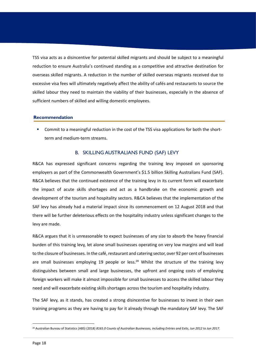TSS visa acts as a disincentive for potential skilled migrants and should be subject to a meaningful reduction to ensure Australia's continued standing as a competitive and attractive destination for overseas skilled migrants. A reduction in the number of skilled overseas migrants received due to excessive visa fees will ultimately negatively affect the ability of cafés and restaurants to source the skilled labour they need to maintain the viability of their businesses, especially in the absence of sufficient numbers of skilled and willing domestic employees.

#### **Recommendation**

Commit to a meaningful reduction in the cost of the TSS visa applications for both the shortterm and medium-term streams.

#### B. SKILLING AUSTRALIANS FUND (SAF) LEVY

<span id="page-21-0"></span>R&CA has expressed significant concerns regarding the training levy imposed on sponsoring employers as part of the Commonwealth Government's \$1.5 billion Skilling Australians Fund (SAF). R&CA believes that the continued existence of the training levy in its current form will exacerbate the impact of acute skills shortages and act as a handbrake on the economic growth and development of the tourism and hospitality sectors. R&CA believes that the implementation of the SAF levy has already had a material impact since its commencement on 12 August 2018 and that there will be further deleterious effects on the hospitality industry unless significant changes to the levy are made.

R&CA argues that it is unreasonable to expect businesses of any size to absorb the heavy financial burden of this training levy, let alone small businesses operating on very low margins and will lead to the closure of businesses. In the café, restaurant and catering sector, over 92 per cent of businesses are small businesses employing 19 people or less. $^{28}$  Whilst the structure of the training levy distinguishes between small and large businesses, the upfront and ongoing costs of employing foreign workers will make it almost impossible for small businesses to access the skilled labour they need and will exacerbate existing skills shortages across the tourism and hospitality industry.

The SAF levy, as it stands, has created a strong disincentive for businesses to invest in their own training programs as they are having to pay for it already through the mandatory SAF levy. The SAF

<sup>28</sup> Australian Bureau of Statistics (ABS) (2018) *8165.0 Counts of Australian Businesses, including Entries and Exits, Jun 2012 to Jun 2017*.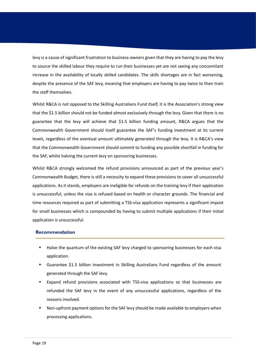levy is a cause of significant frustration to business-owners given that they are having to pay the levy to source the skilled labour they require to run their businesses yet are not seeing any concomitant increase in the availability of locally skilled candidates. The skills shortages are in fact worsening, despite the presence of the SAF levy, meaning that employers are having to pay twice to then train the staff themselves.

Whilst R&CA is not opposed to the Skilling Australians Fund itself, it is the Association's strong view that the \$1.5 billion should not be funded almost exclusively through the levy. Given that there is no guarantee that the levy will achieve that \$1.5 billion funding amount, R&CA argues that the Commonwealth Government should itself guarantee the SAF's funding investment at its current levels, regardless of the eventual amount ultimately generated through the levy. It is R&CA's view that the Commonwealth Government should commit to funding any possible shortfall in funding for the SAF, whilst halving the current levy on sponsoring businesses.

Whilst R&CA strongly welcomed the refund provisions announced as part of the previous year's Commonwealth Budget, there is still a necessity to expand these provisions to cover all unsuccessful applications. As it stands, employers are ineligible for refunds on the training levy if their application is unsuccessful, unless the visa is refused based on health or character grounds. The financial and time resources required as part of submitting a TSS-visa application represents a significant impost for small businesses which is compounded by having to submit multiple applications if their initial application is unsuccessful.

#### **Recommendation**

- Halve the quantum of the existing SAF levy charged to sponsoring businesses for each visa application.
- Guarantee \$1.5 billion investment in Skilling Australians Fund regardless of the amount generated through the SAF levy.
- Expand refund provisions associated with TSS-visa applications so that businesses are refunded the SAF levy in the event of any unsuccessful applications, regardless of the reasons involved.
- Non-upfront payment options for the SAF levy should be made available to employers when processing applications.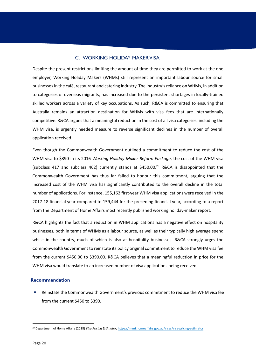### C. WORKING HOLIDAY MAKER VISA

<span id="page-23-0"></span>Despite the present restrictions limiting the amount of time they are permitted to work at the one employer, Working Holiday Makers (WHMs) still represent an important labour source for small businesses in the café, restaurant and catering industry. The industry's reliance on WHMs, in addition to categories of overseas migrants, has increased due to the persistent shortages in locally-trained skilled workers across a variety of key occupations. As such, R&CA is committed to ensuring that Australia remains an attraction destination for WHMs with visa fees that are internationally competitive. R&CA argues that a meaningful reduction in the cost of all visa categories, including the WHM visa, is urgently needed measure to reverse significant declines in the number of overall application received.

Even though the Commonwealth Government outlined a commitment to reduce the cost of the WHM visa to \$390 in its 2016 *Working Holiday Maker Reform Package*, the cost of the WHM visa (subclass 417 and subclass 462) currently stands at  $$450.00<sup>29</sup>$  R&CA is disappointed that the Commonwealth Government has thus far failed to honour this commitment, arguing that the increased cost of the WHM visa has significantly contributed to the overall decline in the total number of applications. For instance, 155,162 first-year WHM visa applications were received in the 2017-18 financial year compared to 159,444 for the preceding financial year, according to a report from the Department of Home Affairs most recently published working holiday-maker report.

R&CA highlights the fact that a reduction in WHM applications has a negative effect on hospitality businesses, both in terms of WHMs as a labour source, as well as their typically high average spend whilst in the country, much of which is also at hospitality businesses. R&CA strongly urges the Commonwealth Government to reinstate its policy original commitment to reduce the WHM visa fee from the current \$450.00 to \$390.00. R&CA believes that a meaningful reduction in price for the WHM visa would translate to an increased number of visa applications being received.

#### **Recommendation**

Reinstate the Commonwealth Government's previous commitment to reduce the WHM visa fee from the current \$450 to \$390.

<sup>29</sup> Department of Home Affairs (2018) *Visa Pricing Estimator*[, https://immi.homeaffairs.gov.au/visas/visa-pricing-estimator](https://immi.homeaffairs.gov.au/visas/visa-pricing-estimator)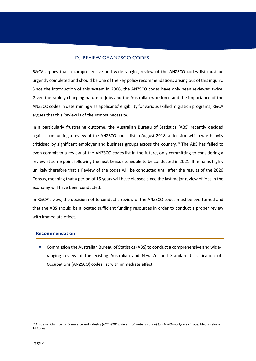### D. REVIEW OF ANZSCO CODES

<span id="page-24-0"></span>R&CA argues that a comprehensive and wide-ranging review of the ANZSCO codes list must be urgently completed and should be one of the key policy recommendations arising out of this inquiry. Since the introduction of this system in 2006, the ANZSCO codes have only been reviewed twice. Given the rapidly changing nature of jobs and the Australian workforce and the importance of the ANZSCO codes in determining visa applicants' eligibility for various skilled migration programs, R&CA argues that this Review is of the utmost necessity.

In a particularly frustrating outcome, the Australian Bureau of Statistics (ABS) recently decided against conducting a review of the ANZSCO codes list in August 2018, a decision which was heavily criticised by significant employer and business groups across the country.<sup>30</sup> The ABS has failed to even commit to a review of the ANZSCO codes list in the future, only committing to considering a review at some point following the next Census schedule to be conducted in 2021. It remains highly unlikely therefore that a Review of the codes will be conducted until after the results of the 2026 Census, meaning that a period of 15 years will have elapsed since the last major review of jobs in the economy will have been conducted.

In R&CA's view, the decision not to conduct a review of the ANZSCO codes must be overturned and that the ABS should be allocated sufficient funding resources in order to conduct a proper review with immediate effect.

#### **Recommendation**

■ Commission the Australian Bureau of Statistics (ABS) to conduct a comprehensive and wideranging review of the existing Australian and New Zealand Standard Classification of Occupations (ANZSCO) codes list with immediate effect.

<sup>30</sup> Australian Chamber of Commerce and Industry (ACCI) (2018) *Bureau of Statistics out of touch with workforce change*, Media Release, 14 August.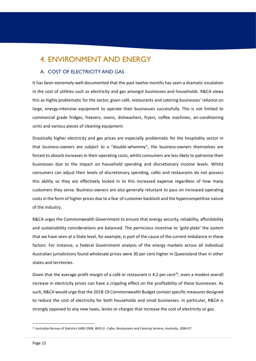# <span id="page-25-0"></span>4. ENVIRONMENT AND ENERGY

### <span id="page-25-1"></span>A. COST OF ELECTRICITY AND GAS

It has been extremely well-documented that the past twelve months has seen a dramatic escalation in the cost of utilities such as electricity and gas amongst businesses and households. R&CA views this as highly problematic for the sector, given café, restaurants and catering businesses' reliance on large, energy-intensive equipment to operate their businesses successfully. This is not limited to commercial grade fridges, freezers, ovens, dishwashers, fryers, coffee machines, air-conditioning units and various pieces of cleaning equipment.

Drastically higher electricity and gas prices are especially problematic for the hospitality sector in that business-owners are subject to a "double-whammy"; the business-owners themselves are forced to absorb increases in their operating costs, whilst consumers are less likely to patronise their businesses due to the impact on household spending and discretionary income levels. Whilst consumers can adjust their levels of discretionary spending, cafés and restaurants do not possess this ability so they are effectively locked in to this increased expense regardless of how many customers they serve. Business-owners are also generally reluctant to pass on increased operating costs in the form of higher prices due to a fear of customer backlash and the hypercompetitive nature of the industry.

R&CA urges the Commonwealth Government to ensure that energy security, reliability, affordability and sustainability considerations are balanced. The pernicious incentive to 'gold plate' the system that we have seen at a State level, for example, is part of the cause of the current imbalance in these factors. For instance, a Federal Government analysis of the energy markets across all individual Australian jurisdictions found wholesale prices were 30 per cent higher in Queensland than in other states and territories.

Given that the average profit margin of a café or restaurant is 4.2 per cent<sup>31</sup>, even a modest overall increase in electricity prices can have a crippling effect on the profitability of these businesses. As such, R&CA would urge that the 2018-19 Commonwealth Budget contain specific measures designed to reduce the cost of electricity for both households and small businesses. In particular, R&CA is strongly opposed to any new taxes, levies or charges that increase the cost of electricity or gas.

<sup>31</sup> Australian Bureau of Statistics (ABS) 2008, *8655.0 - Cafes, Restaurants and Catering Services, Australia, 2006-07*.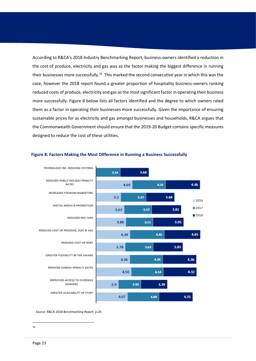According to R&CA's 2018 Industry Benchmarking Report, business-owners identified a reduction in the cost of produce, electricity and gas was as the factor making the biggest difference in running their businesses more successfully.<sup>32</sup> This marked the second consecutive year in which this was the case, however the 2018 report found a greater proportion of hospitality business-owners ranking reduced costs of produce, electricity and gas as the most significant factor in operating their business more successfully. Figure 8 below lists all factors identified and the degree to which owners rated them as a factor in operating their businesses more successfully. Given the importance of ensuring sustainable prices for as electricity and gas amongst businesses and households, R&CA argues that the Commonwealth Government should ensure that the 2019-20 Budget contains specific measures designed to reduce the cost of these utilities.



#### **Figure 8: Factors Making the Most Difference in Running a Business Successfully**

*Source: R&CA 2018 Benchmarking Report, p.20.*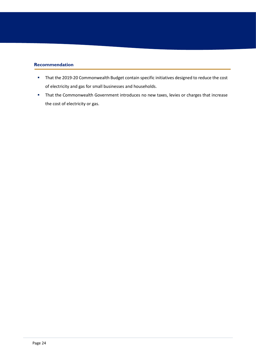### **Recommendation**

- That the 2019-20 Commonwealth Budget contain specific initiatives designed to reduce the cost of electricity and gas for small businesses and households.
- **That the Commonwealth Government introduces no new taxes, levies or charges that increase** the cost of electricity or gas.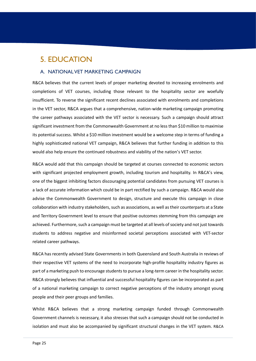# <span id="page-28-0"></span>5. EDUCATION

### <span id="page-28-1"></span>A. NATIONAL VET MARKETING CAMPAIGN

R&CA believes that the current levels of proper marketing devoted to increasing enrolments and completions of VET courses, including those relevant to the hospitality sector are woefully insufficient. To reverse the significant recent declines associated with enrolments and completions in the VET sector, R&CA argues that a comprehensive, nation-wide marketing campaign promoting the career pathways associated with the VET sector is necessary. Such a campaign should attract significant investment from the Commonwealth Government at no less than \$10 million to maximise its potential success. Whilst a \$10 million investment would be a welcome step in terms of funding a highly sophisticated national VET campaign, R&CA believes that further funding in addition to this would also help ensure the continued robustness and viability of the nation's VET sector.

R&CA would add that this campaign should be targeted at courses connected to economic sectors with significant projected employment growth, including tourism and hospitality. In R&CA's view, one of the biggest inhibiting factors discouraging potential candidates from pursuing VET courses is a lack of accurate information which could be in part rectified by such a campaign. R&CA would also advise the Commonwealth Government to design, structure and execute this campaign in close collaboration with industry stakeholders, such as associations, as well as their counterparts at a State and Territory Government level to ensure that positive outcomes stemming from this campaign are achieved. Furthermore, such a campaign must be targeted at all levels of society and not just towards students to address negative and misinformed societal perceptions associated with VET-sector related career pathways.

R&CA has recently advised State Governments in both Queensland and South Australia in reviews of their respective VET systems of the need to incorporate high-profile hospitality industry figures as part of a marketing push to encourage students to pursue a long-term career in the hospitality sector. R&CA strongly believes that influential and successful hospitality figures can be incorporated as part of a national marketing campaign to correct negative perceptions of the industry amongst young people and their peer groups and families.

Whilst R&CA believes that a strong marketing campaign funded through Commonwealth Government channels is necessary, it also stresses that such a campaign should not be conducted in isolation and must also be accompanied by significant structural changes in the VET system. R&CA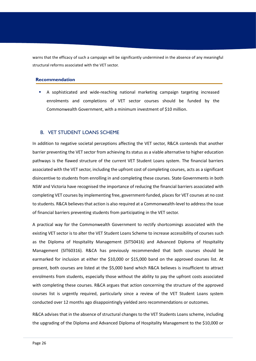warns that the efficacy of such a campaign will be significantly undermined in the absence of any meaningful structural reforms associated with the VET sector.

#### **Recommendation**

▪ A sophisticated and wide-reaching national marketing campaign targeting increased enrolments and completions of VET sector courses should be funded by the Commonwealth Government, with a minimum investment of \$10 million.

#### <span id="page-29-0"></span>B. VET STUDENT LOANS SCHEME

In addition to negative societal perceptions affecting the VET sector, R&CA contends that another barrier preventing the VET sector from achieving its status as a viable alternative to higher education pathways is the flawed structure of the current VET Student Loans system. The financial barriers associated with the VET sector, including the upfront cost of completing courses, acts as a significant disincentive to students from enrolling in and completing these courses. State Governments in both NSW and Victoria have recognised the importance of reducing the financial barriers associated with completing VET courses by implementing free, government-funded, places for VET courses at no cost to students. R&CA believes that action is also required at a Commonwealth-level to address the issue of financial barriers preventing students from participating in the VET sector.

A practical way for the Commonwealth Government to rectify shortcomings associated with the existing VET sector is to alter the VET Student Loans Scheme to increase accessibility of courses such as the Diploma of Hospitality Management (SIT50416) and Advanced Diploma of Hospitality Management (SIT60316). R&CA has previously recommended that both courses should be earmarked for inclusion at either the \$10,000 or \$15,000 band on the approved courses list. At present, both courses are listed at the \$5,000 band which R&CA believes is insufficient to attract enrolments from students, especially those without the ability to pay the upfront costs associated with completing these courses. R&CA argues that action concerning the structure of the approved courses list is urgently required, particularly since a review of the VET Student Loans system conducted over 12 months ago disappointingly yielded zero recommendations or outcomes.

R&CA advises that in the absence of structural changes to the VET Students Loans scheme, including the upgrading of the Diploma and Advanced Diploma of Hospitality Management to the \$10,000 or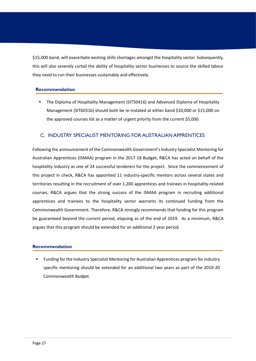\$15,000 band, will exacerbate existing skills shortages amongst the hospitality sector. Subsequently, this will also severely curtail the ability of hospitality sector businesses to source the skilled labour they need to run their businesses sustainably and effectively.

#### **Recommendation**

**• The Diploma of Hospitality Management (SIT50416) and Advanced Diploma of Hospitality** Management (SIT60316) should both be re-instated at either band \$10,000 or \$15,000 on the approved courses list as a matter of urgent priority from the current \$5,000.

#### C. INDUSTRY SPECIALIST MENTORING FOR AUSTRALIAN APPRENTICES

Following the announcement of the Commonwealth Government's Industry Specialist Mentoring for Australian Apprentices (ISMAA) program in the 2017-18 Budget, R&CA has acted on behalf of the hospitality industry as one of 24 successful tenderers for the project. Since the commencement of this project in check, R&CA has appointed 11 industry-specific mentors across several states and territories resulting in the recruitment of over 1,200 apprentices and trainees in hospitality-related courses. R&CA argues that the strong success of the ISMAA program in recruiting additional apprentices and trainees to the hospitality sector warrants its continued funding from the Commonwealth Government. Therefore, R&CA strongly recommends that funding for this program be guaranteed beyond the current period, elapsing as of the end of 2019. As a minimum, R&CA argues that this program should be extended for an additional 2 year period.

#### **Recommendation**

Funding for the Industry Specialist Mentoring for Australian Apprentices program for industry specific mentoring should be extended for an additional two years as part of the 2019-20 Commonwealth Budget.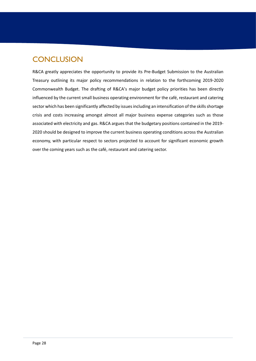# <span id="page-31-0"></span>**CONCLUSION**

R&CA greatly appreciates the opportunity to provide its Pre-Budget Submission to the Australian Treasury outlining its major policy recommendations in relation to the forthcoming 2019-2020 Commonwealth Budget. The drafting of R&CA's major budget policy priorities has been directly influenced by the current small business operating environment for the café, restaurant and catering sector which has been significantly affected by issues including an intensification of the skills shortage crisis and costs increasing amongst almost all major business expense categories such as those associated with electricity and gas. R&CA argues that the budgetary positions contained in the 2019- 2020 should be designed to improve the current business operating conditions across the Australian economy, with particular respect to sectors projected to account for significant economic growth over the coming years such as the café, restaurant and catering sector.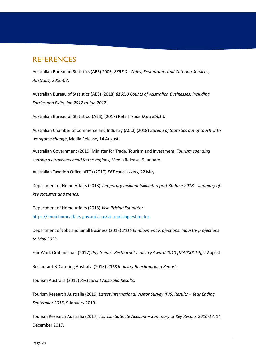### <span id="page-32-0"></span>**REFERENCES**

Australian Bureau of Statistics (ABS) 2008, *8655.0 - Cafes, Restaurants and Catering Services, Australia, 2006-07*.

Australian Bureau of Statistics (ABS) (2018) *8165.0 Counts of Australian Businesses, including Entries and Exits, Jun 2012 to Jun 2017*.

Australian Bureau of Statistics, (ABS), (2017) Retail *Trade Data 8501.0*.

Australian Chamber of Commerce and Industry (ACCI) (2018) *Bureau of Statistics out of touch with workforce change*, Media Release, 14 August.

Australian Government (2019) Minister for Trade, Tourism and Investment, *Tourism spending soaring as travellers head to the regions,* Media Release, 9 January.

Australian Taxation Office (ATO) (2017) *FBT concessions*, 22 May.

Department of Home Affairs (2018) *Temporary resident (skilled) report 30 June 2018 - summary of key statistics and trends.*

Department of Home Affairs (2018) *Visa Pricing Estimator* <https://immi.homeaffairs.gov.au/visas/visa-pricing-estimator>

Department of Jobs and Small Business (2018) *2016 Employment Projections, Industry projections to May 2023.*

Fair Work Ombudsman (2017) *Pay Guide - Restaurant Industry Award 2010 [MA000119]*, 2 August.

Restaurant & Catering Australia (2018) *2018 Industry Benchmarking Report*.

Tourism Australia (2015) *Restaurant Australia Results*.

Tourism Research Australia (2019) *Latest International Visitor Survey (IVS) Results – Year Ending September 2018*, 9 January 2019.

Tourism Research Australia (2017) *Tourism Satellite Account – Summary of Key Results 2016-17*, 14 December 2017.